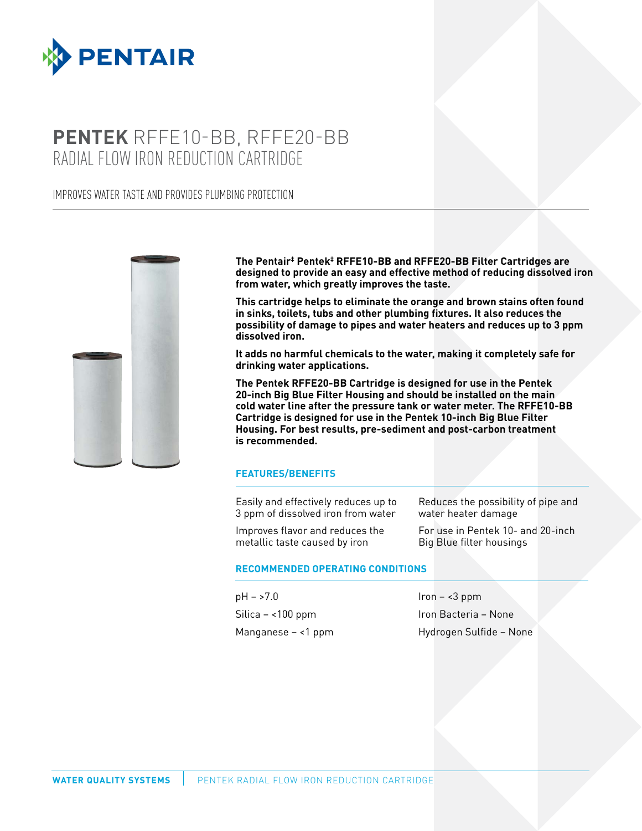

## **PENTEK** RFFE10-BB, RFFE20-BB RADIAL FLOW IRON REDUCTION CARTRIDGE

IMPROVES WATER TASTE AND PROVIDES PLUMBING PROTECTION



**The Pentair‡ Pentek‡ RFFE10-BB and RFFE20-BB Filter Cartridges are designed to provide an easy and effective method of reducing dissolved iron from water, which greatly improves the taste.**

**This cartridge helps to eliminate the orange and brown stains often found in sinks, toilets, tubs and other plumbing fixtures. It also reduces the possibility of damage to pipes and water heaters and reduces up to 3 ppm dissolved iron.**

**It adds no harmful chemicals to the water, making it completely safe for drinking water applications.**

**The Pentek RFFE20-BB Cartridge is designed for use in the Pentek 20-inch Big Blue Filter Housing and should be installed on the main cold water line after the pressure tank or water meter. The RFFE10-BB Cartridge is designed for use in the Pentek 10-inch Big Blue Filter Housing. For best results, pre-sediment and post-carbon treatment is recommended.**

## **FEATURES/BENEFITS**

Easily and effectively reduces up to 3 ppm of dissolved iron from water

Reduces the possibility of pipe and water heater damage

Improves flavor and reduces the metallic taste caused by iron

For use in Pentek 10- and 20-inch Big Blue filter housings

## **RECOMMENDED OPERATING CONDITIONS**

pH – >7.0 Silica – <100 ppm Manganese – <1 ppm

Iron – <3 ppm Iron Bacteria – None Hydrogen Sulfide – None